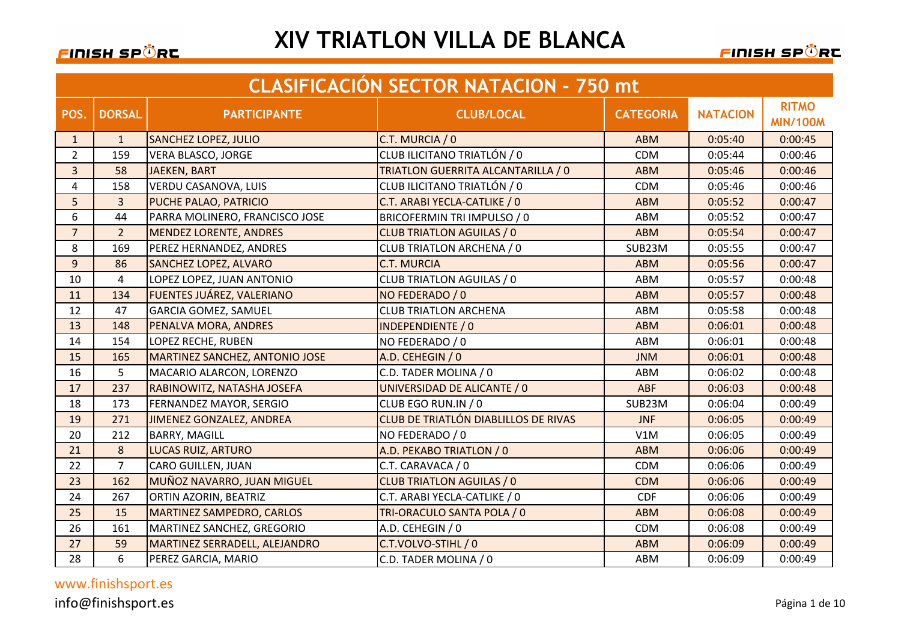### FINISH SPÖRE

### **XIV TRIATLON VILLA DE BLANCA**

<u>FINISH SPÖR</u>C

|                | <b>CLASIFICACIÓN SECTOR NATACION - 750 mt</b> |                                       |                                      |                  |                 |                                 |  |
|----------------|-----------------------------------------------|---------------------------------------|--------------------------------------|------------------|-----------------|---------------------------------|--|
| POS.           | <b>DORSAL</b>                                 | <b>PARTICIPANTE</b>                   | <b>CLUB/LOCAL</b>                    | <b>CATEGORIA</b> | <b>NATACION</b> | <b>RITMO</b><br><b>MIN/100M</b> |  |
| $\mathbf{1}$   | $\mathbf{1}$                                  | <b>SANCHEZ LOPEZ, JULIO</b>           | C.T. MURCIA / 0                      | <b>ABM</b>       | 0:05:40         | 0:00:45                         |  |
| $\overline{2}$ | 159                                           | <b>VERA BLASCO, JORGE</b>             | CLUB ILICITANO TRIATLÓN / 0          | <b>CDM</b>       | 0:05:44         | 0:00:46                         |  |
| $\overline{3}$ | 58                                            | <b>JAEKEN, BART</b>                   | TRIATLON GUERRITA ALCANTARILLA / 0   | <b>ABM</b>       | 0:05:46         | 0:00:46                         |  |
| $\overline{4}$ | 158                                           | <b>VERDU CASANOVA, LUIS</b>           | CLUB ILICITANO TRIATLÓN / 0          | <b>CDM</b>       | 0:05:46         | 0:00:46                         |  |
| 5              | 3                                             | PUCHE PALAO, PATRICIO                 | C.T. ARABI YECLA-CATLIKE / 0         | <b>ABM</b>       | 0:05:52         | 0:00:47                         |  |
| 6              | 44                                            | PARRA MOLINERO, FRANCISCO JOSE        | BRICOFERMIN TRI IMPULSO / 0          | ABM              | 0:05:52         | 0:00:47                         |  |
| $\overline{7}$ | $\overline{2}$                                | <b>MENDEZ LORENTE, ANDRES</b>         | <b>CLUB TRIATLON AGUILAS / 0</b>     | <b>ABM</b>       | 0:05:54         | 0:00:47                         |  |
| 8              | 169                                           | PEREZ HERNANDEZ, ANDRES               | CLUB TRIATLON ARCHENA / 0            | SUB23M           | 0:05:55         | 0:00:47                         |  |
| 9              | 86                                            | <b>SANCHEZ LOPEZ, ALVARO</b>          | <b>C.T. MURCIA</b>                   | <b>ABM</b>       | 0:05:56         | 0:00:47                         |  |
| 10             | $\overline{4}$                                | LOPEZ LOPEZ, JUAN ANTONIO             | <b>CLUB TRIATLON AGUILAS / 0</b>     | ABM              | 0:05:57         | 0:00:48                         |  |
| 11             | 134                                           | FUENTES JUÁREZ, VALERIANO             | NO FEDERADO / 0                      | <b>ABM</b>       | 0:05:57         | 0:00:48                         |  |
| 12             | 47                                            | <b>GARCIA GOMEZ, SAMUEL</b>           | <b>CLUB TRIATLON ARCHENA</b>         | ABM              | 0:05:58         | 0:00:48                         |  |
| 13             | 148                                           | PENALVA MORA, ANDRES                  | <b>INDEPENDIENTE / 0</b>             | <b>ABM</b>       | 0:06:01         | 0:00:48                         |  |
| 14             | 154                                           | LOPEZ RECHE, RUBEN                    | NO FEDERADO / 0                      | ABM              | 0:06:01         | 0:00:48                         |  |
| 15             | 165                                           | <b>MARTINEZ SANCHEZ, ANTONIO JOSE</b> | A.D. CEHEGIN / 0                     | <b>JNM</b>       | 0:06:01         | 0:00:48                         |  |
| 16             | 5                                             | MACARIO ALARCON, LORENZO              | C.D. TADER MOLINA / 0                | ABM              | 0:06:02         | 0:00:48                         |  |
| 17             | 237                                           | RABINOWITZ, NATASHA JOSEFA            | UNIVERSIDAD DE ALICANTE / 0          | <b>ABF</b>       | 0:06:03         | 0:00:48                         |  |
| 18             | 173                                           | FERNANDEZ MAYOR, SERGIO               | CLUB EGO RUN.IN / 0                  | SUB23M           | 0:06:04         | 0:00:49                         |  |
| 19             | 271                                           | JIMENEZ GONZALEZ, ANDREA              | CLUB DE TRIATLÓN DIABLILLOS DE RIVAS | <b>JNF</b>       | 0:06:05         | 0:00:49                         |  |
| 20             | 212                                           | <b>BARRY, MAGILL</b>                  | NO FEDERADO / 0                      | V1M              | 0:06:05         | 0:00:49                         |  |
| 21             | 8                                             | <b>LUCAS RUIZ, ARTURO</b>             | A.D. PEKABO TRIATLON / 0             | <b>ABM</b>       | 0:06:06         | 0:00:49                         |  |
| 22             | $\overline{7}$                                | CARO GUILLEN, JUAN                    | C.T. CARAVACA / 0                    | <b>CDM</b>       | 0:06:06         | 0:00:49                         |  |
| 23             | 162                                           | MUÑOZ NAVARRO, JUAN MIGUEL            | <b>CLUB TRIATLON AGUILAS / 0</b>     | <b>CDM</b>       | 0:06:06         | 0:00:49                         |  |
| 24             | 267                                           | ORTIN AZORIN, BEATRIZ                 | C.T. ARABI YECLA-CATLIKE / 0         | CDF              | 0:06:06         | 0:00:49                         |  |
| 25             | 15                                            | <b>MARTINEZ SAMPEDRO, CARLOS</b>      | TRI-ORACULO SANTA POLA / 0           | <b>ABM</b>       | 0:06:08         | 0:00:49                         |  |
| 26             | 161                                           | MARTINEZ SANCHEZ, GREGORIO            | A.D. CEHEGIN / 0                     | <b>CDM</b>       | 0:06:08         | 0:00:49                         |  |
| 27             | 59                                            | MARTINEZ SERRADELL, ALEJANDRO         | C.T.VOLVO-STIHL / 0                  | <b>ABM</b>       | 0:06:09         | 0:00:49                         |  |
| 28             | 6                                             | PEREZ GARCIA, MARIO                   | C.D. TADER MOLINA / 0                | ABM              | 0:06:09         | 0:00:49                         |  |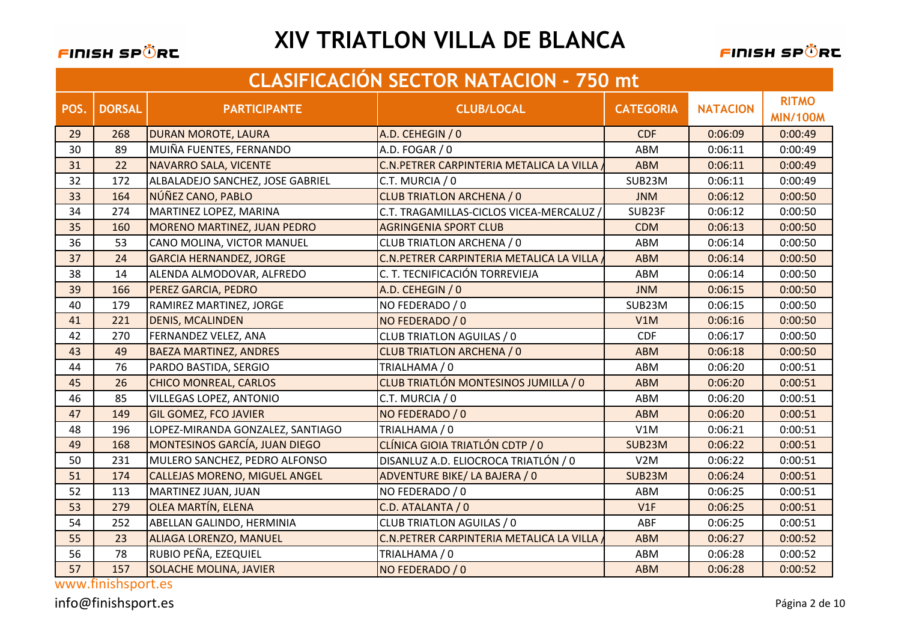

FINISH SPÖRC

|      | <b>CLASIFICACIÓN SECTOR NATACION - 750 mt</b> |                                      |                                           |                  |                 |                                 |  |
|------|-----------------------------------------------|--------------------------------------|-------------------------------------------|------------------|-----------------|---------------------------------|--|
| POS. | <b>DORSAL</b>                                 | <b>PARTICIPANTE</b>                  | <b>CLUB/LOCAL</b>                         | <b>CATEGORIA</b> | <b>NATACION</b> | <b>RITMO</b><br><b>MIN/100M</b> |  |
| 29   | 268                                           | DURAN MOROTE, LAURA                  | A.D. CEHEGIN / 0                          | <b>CDF</b>       | 0:06:09         | 0:00:49                         |  |
| 30   | 89                                            | MUIÑA FUENTES, FERNANDO              | A.D. FOGAR / 0                            | ABM              | 0:06:11         | 0:00:49                         |  |
| 31   | 22                                            | <b>NAVARRO SALA, VICENTE</b>         | C.N. PETRER CARPINTERIA METALICA LA VILLA | <b>ABM</b>       | 0:06:11         | 0:00:49                         |  |
| 32   | 172                                           | ALBALADEJO SANCHEZ, JOSE GABRIEL     | C.T. MURCIA / 0                           | SUB23M           | 0:06:11         | 0:00:49                         |  |
| 33   | 164                                           | NÚÑEZ CANO, PABLO                    | <b>CLUB TRIATLON ARCHENA / 0</b>          | <b>JNM</b>       | 0:06:12         | 0:00:50                         |  |
| 34   | 274                                           | MARTINEZ LOPEZ, MARINA               | C.T. TRAGAMILLAS-CICLOS VICEA-MERCALUZ    | SUB23F           | 0:06:12         | 0:00:50                         |  |
| 35   | 160                                           | <b>MORENO MARTINEZ, JUAN PEDRO</b>   | <b>AGRINGENIA SPORT CLUB</b>              | <b>CDM</b>       | 0:06:13         | 0:00:50                         |  |
| 36   | 53                                            | CANO MOLINA, VICTOR MANUEL           | CLUB TRIATLON ARCHENA / 0                 | ABM              | 0:06:14         | 0:00:50                         |  |
| 37   | 24                                            | <b>GARCIA HERNANDEZ, JORGE</b>       | C.N. PETRER CARPINTERIA METALICA LA VILLA | <b>ABM</b>       | 0:06:14         | 0:00:50                         |  |
| 38   | 14                                            | ALENDA ALMODOVAR, ALFREDO            | C. T. TECNIFICACIÓN TORREVIEJA            | ABM              | 0:06:14         | 0:00:50                         |  |
| 39   | 166                                           | <b>PEREZ GARCIA, PEDRO</b>           | A.D. CEHEGIN / 0                          | <b>JNM</b>       | 0:06:15         | 0:00:50                         |  |
| 40   | 179                                           | RAMIREZ MARTINEZ, JORGE              | NO FEDERADO / 0                           | SUB23M           | 0:06:15         | 0:00:50                         |  |
| 41   | 221                                           | <b>DENIS, MCALINDEN</b>              | NO FEDERADO / 0                           | V1M              | 0:06:16         | 0:00:50                         |  |
| 42   | 270                                           | <b>FERNANDEZ VELEZ, ANA</b>          | <b>CLUB TRIATLON AGUILAS / 0</b>          | <b>CDF</b>       | 0:06:17         | 0:00:50                         |  |
| 43   | 49                                            | <b>BAEZA MARTINEZ, ANDRES</b>        | <b>CLUB TRIATLON ARCHENA / 0</b>          | <b>ABM</b>       | 0:06:18         | 0:00:50                         |  |
| 44   | 76                                            | PARDO BASTIDA, SERGIO                | TRIALHAMA / 0                             | ABM              | 0:06:20         | 0:00:51                         |  |
| 45   | 26                                            | <b>CHICO MONREAL, CARLOS</b>         | CLUB TRIATLÓN MONTESINOS JUMILLA / 0      | <b>ABM</b>       | 0:06:20         | 0:00:51                         |  |
| 46   | 85                                            | VILLEGAS LOPEZ, ANTONIO              | C.T. MURCIA / 0                           | ABM              | 0:06:20         | 0:00:51                         |  |
| 47   | 149                                           | <b>GIL GOMEZ, FCO JAVIER</b>         | NO FEDERADO / 0                           | <b>ABM</b>       | 0:06:20         | 0:00:51                         |  |
| 48   | 196                                           | LOPEZ-MIRANDA GONZALEZ, SANTIAGO     | TRIALHAMA / 0                             | V1M              | 0:06:21         | 0:00:51                         |  |
| 49   | 168                                           | <b>MONTESINOS GARCÍA, JUAN DIEGO</b> | CLÍNICA GIOIA TRIATLÓN CDTP / 0           | SUB23M           | 0:06:22         | 0:00:51                         |  |
| 50   | 231                                           | MULERO SANCHEZ, PEDRO ALFONSO        | DISANLUZ A.D. ELIOCROCA TRIATLÓN / 0      | V2M              | 0:06:22         | 0:00:51                         |  |
| 51   | 174                                           | <b>CALLEJAS MORENO, MIGUEL ANGEL</b> | ADVENTURE BIKE/ LA BAJERA / 0             | SUB23M           | 0:06:24         | 0:00:51                         |  |
| 52   | 113                                           | MARTINEZ JUAN, JUAN                  | NO FEDERADO / 0                           | ABM              | 0:06:25         | 0:00:51                         |  |
| 53   | 279                                           | <b>OLEA MARTÍN, ELENA</b>            | C.D. ATALANTA / 0                         | V1F              | 0:06:25         | 0:00:51                         |  |
| 54   | 252                                           | ABELLAN GALINDO, HERMINIA            | <b>CLUB TRIATLON AGUILAS / 0</b>          | ABF              | 0:06:25         | 0:00:51                         |  |
| 55   | 23                                            | <b>ALIAGA LORENZO, MANUEL</b>        | C.N. PETRER CARPINTERIA METALICA LA VILLA | <b>ABM</b>       | 0:06:27         | 0:00:52                         |  |
| 56   | 78                                            | RUBIO PEÑA, EZEQUIEL                 | TRIALHAMA / 0                             | <b>ABM</b>       | 0:06:28         | 0:00:52                         |  |
| 57   | 157                                           | <b>SOLACHE MOLINA, JAVIER</b>        | NO FEDERADO / 0                           | <b>ABM</b>       | 0:06:28         | 0:00:52                         |  |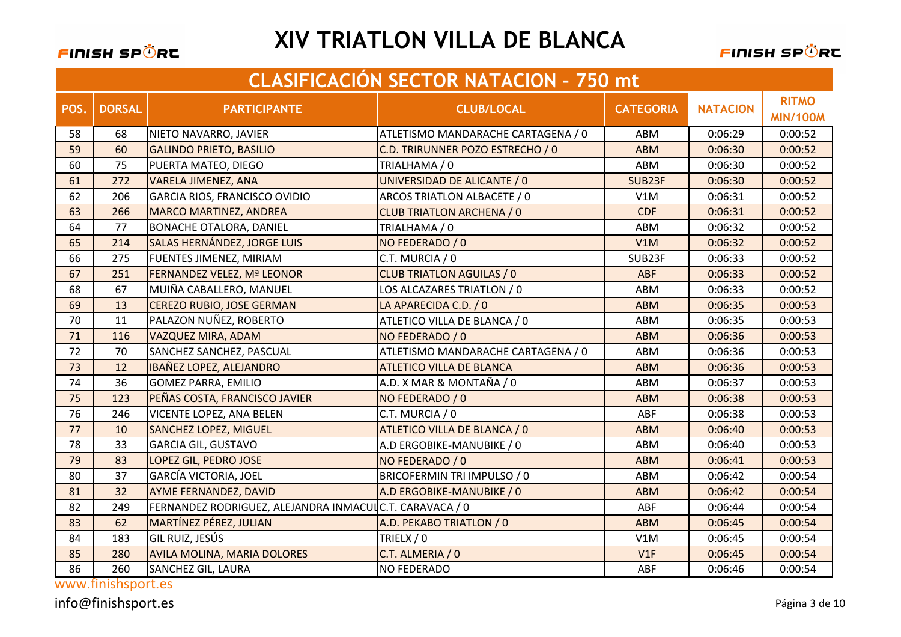

FINISH SPÖRC

|      | <b>CLASIFICACIÓN SECTOR NATACIÓN - 750 mt</b> |                                                         |                                    |                  |                 |                                 |  |
|------|-----------------------------------------------|---------------------------------------------------------|------------------------------------|------------------|-----------------|---------------------------------|--|
| POS. | <b>DORSAL</b>                                 | <b>PARTICIPANTE</b>                                     | <b>CLUB/LOCAL</b>                  | <b>CATEGORIA</b> | <b>NATACION</b> | <b>RITMO</b><br><b>MIN/100M</b> |  |
| 58   | 68                                            | NIETO NAVARRO, JAVIER                                   | ATLETISMO MANDARACHE CARTAGENA / 0 | ABM              | 0:06:29         | 0:00:52                         |  |
| 59   | 60                                            | <b>GALINDO PRIETO, BASILIO</b>                          | C.D. TRIRUNNER POZO ESTRECHO / 0   | <b>ABM</b>       | 0:06:30         | 0:00:52                         |  |
| 60   | 75                                            | PUERTA MATEO, DIEGO                                     | TRIALHAMA / 0                      | ABM              | 0:06:30         | 0:00:52                         |  |
| 61   | 272                                           | <b>VARELA JIMENEZ, ANA</b>                              | UNIVERSIDAD DE ALICANTE / 0        | SUB23F           | 0:06:30         | 0:00:52                         |  |
| 62   | 206                                           | GARCIA RIOS, FRANCISCO OVIDIO                           | ARCOS TRIATLON ALBACETE / 0        | V1M              | 0:06:31         | 0:00:52                         |  |
| 63   | 266                                           | <b>MARCO MARTINEZ, ANDREA</b>                           | <b>CLUB TRIATLON ARCHENA / 0</b>   | <b>CDF</b>       | 0:06:31         | 0:00:52                         |  |
| 64   | 77                                            | <b>BONACHE OTALORA, DANIEL</b>                          | TRIALHAMA / 0                      | ABM              | 0:06:32         | 0:00:52                         |  |
| 65   | 214                                           | SALAS HERNÁNDEZ, JORGE LUIS                             | NO FEDERADO / 0                    | V1M              | 0:06:32         | 0:00:52                         |  |
| 66   | 275                                           | FUENTES JIMENEZ, MIRIAM                                 | C.T. MURCIA / 0                    | SUB23F           | 0:06:33         | 0:00:52                         |  |
| 67   | 251                                           | FERNANDEZ VELEZ, Mª LEONOR                              | <b>CLUB TRIATLON AGUILAS / 0</b>   | ABF              | 0:06:33         | 0:00:52                         |  |
| 68   | 67                                            | MUIÑA CABALLERO, MANUEL                                 | LOS ALCAZARES TRIATLON / 0         | ABM              | 0:06:33         | 0:00:52                         |  |
| 69   | 13                                            | <b>CEREZO RUBIO, JOSE GERMAN</b>                        | LA APARECIDA C.D. / 0              | <b>ABM</b>       | 0:06:35         | 0:00:53                         |  |
| 70   | 11                                            | PALAZON NUÑEZ, ROBERTO                                  | ATLETICO VILLA DE BLANCA / 0       | ABM              | 0:06:35         | 0:00:53                         |  |
| 71   | 116                                           | <b>VAZQUEZ MIRA, ADAM</b>                               | NO FEDERADO / 0                    | <b>ABM</b>       | 0:06:36         | 0:00:53                         |  |
| 72   | 70                                            | SANCHEZ SANCHEZ, PASCUAL                                | ATLETISMO MANDARACHE CARTAGENA / 0 | ABM              | 0:06:36         | 0:00:53                         |  |
| 73   | 12                                            | <b>IBAÑEZ LOPEZ, ALEJANDRO</b>                          | <b>ATLETICO VILLA DE BLANCA</b>    | <b>ABM</b>       | 0:06:36         | 0:00:53                         |  |
| 74   | 36                                            | <b>GOMEZ PARRA, EMILIO</b>                              | A.D. X MAR & MONTAÑA / 0           | ABM              | 0:06:37         | 0:00:53                         |  |
| 75   | 123                                           | PEÑAS COSTA, FRANCISCO JAVIER                           | NO FEDERADO / 0                    | <b>ABM</b>       | 0:06:38         | 0:00:53                         |  |
| 76   | 246                                           | VICENTE LOPEZ, ANA BELEN                                | C.T. MURCIA / 0                    | ABF              | 0:06:38         | 0:00:53                         |  |
| 77   | 10                                            | <b>SANCHEZ LOPEZ, MIGUEL</b>                            | ATLETICO VILLA DE BLANCA / 0       | <b>ABM</b>       | 0:06:40         | 0:00:53                         |  |
| 78   | 33                                            | <b>GARCIA GIL, GUSTAVO</b>                              | A.D ERGOBIKE-MANUBIKE / 0          | ABM              | 0:06:40         | 0:00:53                         |  |
| 79   | 83                                            | LOPEZ GIL, PEDRO JOSE                                   | NO FEDERADO / 0                    | <b>ABM</b>       | 0:06:41         | 0:00:53                         |  |
| 80   | 37                                            | <b>GARCÍA VICTORIA, JOEL</b>                            | BRICOFERMIN TRI IMPULSO / 0        | ABM              | 0:06:42         | 0:00:54                         |  |
| 81   | 32                                            | <b>AYME FERNANDEZ, DAVID</b>                            | A.D ERGOBIKE-MANUBIKE / 0          | <b>ABM</b>       | 0:06:42         | 0:00:54                         |  |
| 82   | 249                                           | FERNANDEZ RODRIGUEZ, ALEJANDRA INMACULC.T. CARAVACA / 0 |                                    | ABF              | 0:06:44         | 0:00:54                         |  |
| 83   | 62                                            | <b>MARTÍNEZ PÉREZ, JULIAN</b>                           | A.D. PEKABO TRIATLON / 0           | <b>ABM</b>       | 0:06:45         | 0:00:54                         |  |
| 84   | 183                                           | GIL RUIZ, JESÚS                                         | TRIELX / 0                         | V1M              | 0:06:45         | 0:00:54                         |  |
| 85   | 280                                           | <b>AVILA MOLINA, MARIA DOLORES</b>                      | C.T. ALMERIA / 0                   | V1F              | 0:06:45         | 0:00:54                         |  |
| 86   | 260                                           | <b>SANCHEZ GIL, LAURA</b>                               | NO FEDERADO                        | ABF              | 0:06:46         | 0:00:54                         |  |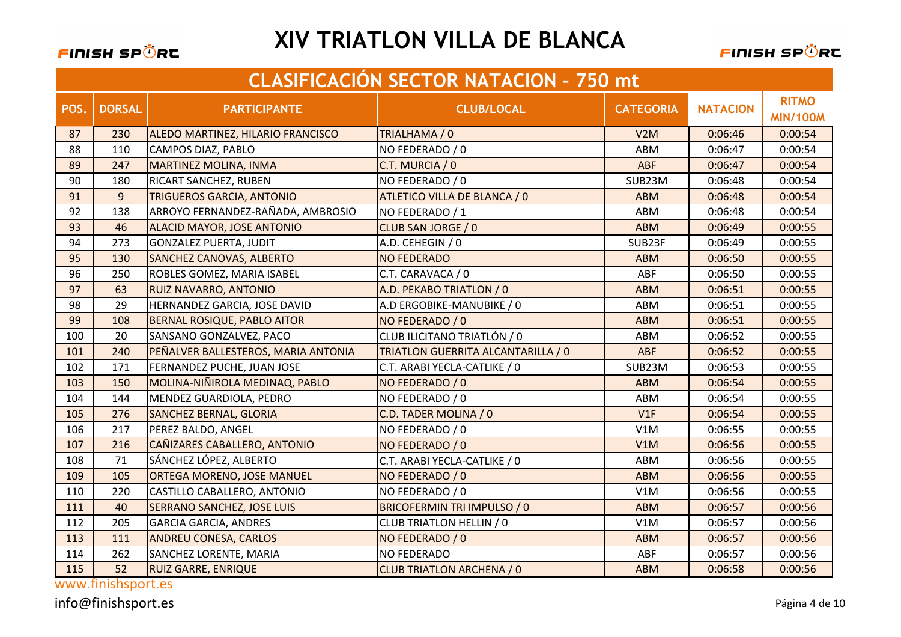

FINISH SPÖRC

|      | <b>CLASIFICACIÓN SECTOR NATACION - 750 mt</b> |                                     |                                    |                  |                 |                                 |  |
|------|-----------------------------------------------|-------------------------------------|------------------------------------|------------------|-----------------|---------------------------------|--|
| POS. | <b>DORSAL</b>                                 | <b>PARTICIPANTE</b>                 | <b>CLUB/LOCAL</b>                  | <b>CATEGORIA</b> | <b>NATACION</b> | <b>RITMO</b><br><b>MIN/100M</b> |  |
| 87   | 230                                           | ALEDO MARTINEZ, HILARIO FRANCISCO   | TRIALHAMA / 0                      | V2M              | 0:06:46         | 0:00:54                         |  |
| 88   | 110                                           | CAMPOS DIAZ, PABLO                  | NO FEDERADO / 0                    | ABM              | 0:06:47         | 0:00:54                         |  |
| 89   | 247                                           | <b>MARTINEZ MOLINA, INMA</b>        | C.T. MURCIA / 0                    | <b>ABF</b>       | 0:06:47         | 0:00:54                         |  |
| 90   | 180                                           | RICART SANCHEZ, RUBEN               | NO FEDERADO / 0                    | SUB23M           | 0:06:48         | 0:00:54                         |  |
| 91   | $\overline{9}$                                | <b>TRIGUEROS GARCIA, ANTONIO</b>    | ATLETICO VILLA DE BLANCA / 0       | <b>ABM</b>       | 0:06:48         | 0:00:54                         |  |
| 92   | 138                                           | ARROYO FERNANDEZ-RAÑADA, AMBROSIO   | NO FEDERADO / 1                    | ABM              | 0:06:48         | 0:00:54                         |  |
| 93   | 46                                            | <b>ALACID MAYOR, JOSE ANTONIO</b>   | CLUB SAN JORGE / 0                 | <b>ABM</b>       | 0:06:49         | 0:00:55                         |  |
| 94   | 273                                           | <b>GONZALEZ PUERTA, JUDIT</b>       | A.D. CEHEGIN / 0                   | SUB23F           | 0:06:49         | 0:00:55                         |  |
| 95   | 130                                           | <b>SANCHEZ CANOVAS, ALBERTO</b>     | <b>NO FEDERADO</b>                 | <b>ABM</b>       | 0:06:50         | 0:00:55                         |  |
| 96   | 250                                           | <b>ROBLES GOMEZ, MARIA ISABEL</b>   | C.T. CARAVACA / 0                  | ABF              | 0:06:50         | 0:00:55                         |  |
| 97   | 63                                            | <b>RUIZ NAVARRO, ANTONIO</b>        | A.D. PEKABO TRIATLON / 0           | <b>ABM</b>       | 0:06:51         | 0:00:55                         |  |
| 98   | 29                                            | HERNANDEZ GARCIA, JOSE DAVID        | A.D ERGOBIKE-MANUBIKE / 0          | ABM              | 0:06:51         | 0:00:55                         |  |
| 99   | 108                                           | <b>BERNAL ROSIQUE, PABLO AITOR</b>  | NO FEDERADO / 0                    | <b>ABM</b>       | 0:06:51         | 0:00:55                         |  |
| 100  | 20                                            | SANSANO GONZALVEZ, PACO             | CLUB ILICITANO TRIATLÓN / 0        | ABM              | 0:06:52         | 0:00:55                         |  |
| 101  | 240                                           | PEÑALVER BALLESTEROS, MARIA ANTONIA | TRIATLON GUERRITA ALCANTARILLA / 0 | ABF              | 0:06:52         | 0:00:55                         |  |
| 102  | 171                                           | FERNANDEZ PUCHE, JUAN JOSE          | C.T. ARABI YECLA-CATLIKE / 0       | SUB23M           | 0:06:53         | 0:00:55                         |  |
| 103  | 150                                           | MOLINA-NIÑIROLA MEDINAQ, PABLO      | NO FEDERADO / 0                    | <b>ABM</b>       | 0:06:54         | 0:00:55                         |  |
| 104  | 144                                           | MENDEZ GUARDIOLA, PEDRO             | NO FEDERADO / 0                    | ABM              | 0:06:54         | 0:00:55                         |  |
| 105  | 276                                           | <b>SANCHEZ BERNAL, GLORIA</b>       | C.D. TADER MOLINA / 0              | V1F              | 0:06:54         | 0:00:55                         |  |
| 106  | 217                                           | PEREZ BALDO, ANGEL                  | NO FEDERADO / 0                    | V1M              | 0:06:55         | 0:00:55                         |  |
| 107  | 216                                           | CAÑIZARES CABALLERO, ANTONIO        | NO FEDERADO / 0                    | V1M              | 0:06:56         | 0:00:55                         |  |
| 108  | 71                                            | SÁNCHEZ LÓPEZ, ALBERTO              | C.T. ARABI YECLA-CATLIKE / 0       | ABM              | 0:06:56         | 0:00:55                         |  |
| 109  | 105                                           | <b>ORTEGA MORENO, JOSE MANUEL</b>   | NO FEDERADO / 0                    | <b>ABM</b>       | 0:06:56         | 0:00:55                         |  |
| 110  | 220                                           | CASTILLO CABALLERO, ANTONIO         | NO FEDERADO / 0                    | V1M              | 0:06:56         | 0:00:55                         |  |
| 111  | 40                                            | <b>SERRANO SANCHEZ, JOSE LUIS</b>   | <b>BRICOFERMIN TRI IMPULSO / 0</b> | <b>ABM</b>       | 0:06:57         | 0:00:56                         |  |
| 112  | 205                                           | <b>GARCIA GARCIA, ANDRES</b>        | CLUB TRIATLON HELLIN / 0           | V1M              | 0:06:57         | 0:00:56                         |  |
| 113  | 111                                           | <b>ANDREU CONESA, CARLOS</b>        | NO FEDERADO / 0                    | <b>ABM</b>       | 0:06:57         | 0:00:56                         |  |
| 114  | 262                                           | SANCHEZ LORENTE, MARIA              | <b>NO FEDERADO</b>                 | ABF              | 0:06:57         | 0:00:56                         |  |
| 115  | 52                                            | <b>RUIZ GARRE, ENRIQUE</b>          | <b>CLUB TRIATLON ARCHENA / 0</b>   | <b>ABM</b>       | 0:06:58         | 0:00:56                         |  |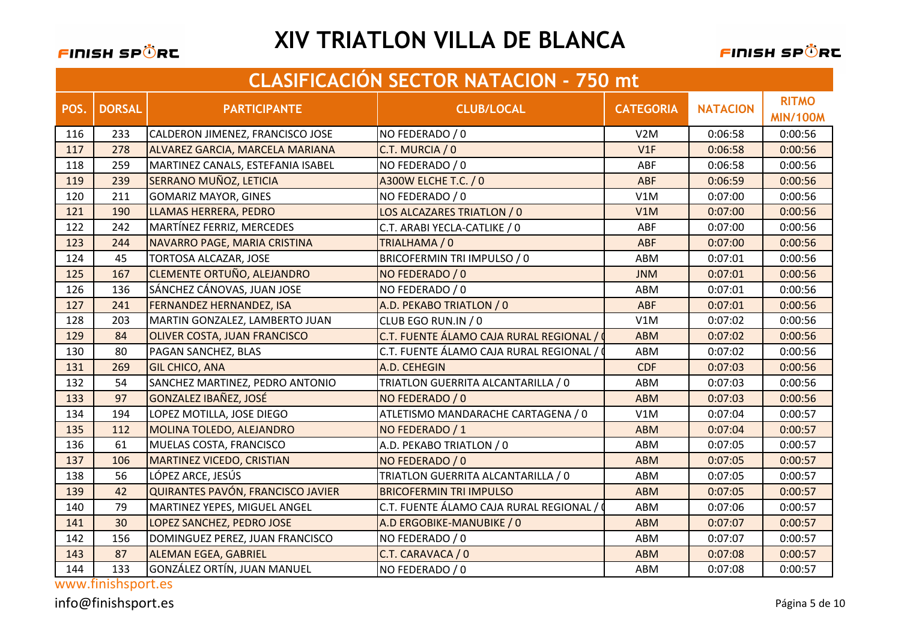

FINISH SPÖRC

|      | <b>CLASIFICACIÓN SECTOR NATACION - 750 mt</b> |                                        |                                         |                  |                 |                                 |  |
|------|-----------------------------------------------|----------------------------------------|-----------------------------------------|------------------|-----------------|---------------------------------|--|
| POS. | <b>DORSAL</b>                                 | <b>PARTICIPANTE</b>                    | <b>CLUB/LOCAL</b>                       | <b>CATEGORIA</b> | <b>NATACION</b> | <b>RITMO</b><br><b>MIN/100M</b> |  |
| 116  | 233                                           | CALDERON JIMENEZ, FRANCISCO JOSE       | NO FEDERADO / 0                         | V2M              | 0:06:58         | 0:00:56                         |  |
| 117  | 278                                           | <b>ALVAREZ GARCIA, MARCELA MARIANA</b> | C.T. MURCIA / 0                         | V1F              | 0:06:58         | 0:00:56                         |  |
| 118  | 259                                           | MARTINEZ CANALS, ESTEFANIA ISABEL      | NO FEDERADO / 0                         | ABF              | 0:06:58         | 0:00:56                         |  |
| 119  | 239                                           | SERRANO MUÑOZ, LETICIA                 | A300W ELCHE T.C. / 0                    | ABF              | 0:06:59         | 0:00:56                         |  |
| 120  | 211                                           | <b>GOMARIZ MAYOR, GINES</b>            | NO FEDERADO / 0                         | V1M              | 0:07:00         | 0:00:56                         |  |
| 121  | 190                                           | LLAMAS HERRERA, PEDRO                  | LOS ALCAZARES TRIATLON / 0              | V1M              | 0:07:00         | 0:00:56                         |  |
| 122  | 242                                           | MARTÍNEZ FERRIZ, MERCEDES              | C.T. ARABI YECLA-CATLIKE / 0            | ABF              | 0:07:00         | 0:00:56                         |  |
| 123  | 244                                           | NAVARRO PAGE, MARIA CRISTINA           | TRIALHAMA / 0                           | ABF              | 0:07:00         | 0:00:56                         |  |
| 124  | 45                                            | <b>TORTOSA ALCAZAR, JOSE</b>           | <b>BRICOFERMIN TRI IMPULSO / 0</b>      | ABM              | 0:07:01         | 0:00:56                         |  |
| 125  | 167                                           | <b>CLEMENTE ORTUÑO, ALEJANDRO</b>      | NO FEDERADO / 0                         | <b>JNM</b>       | 0:07:01         | 0:00:56                         |  |
| 126  | 136                                           | SÁNCHEZ CÁNOVAS, JUAN JOSE             | NO FEDERADO / 0                         | ABM              | 0:07:01         | 0:00:56                         |  |
| 127  | 241                                           | <b>FERNANDEZ HERNANDEZ, ISA</b>        | A.D. PEKABO TRIATLON / 0                | <b>ABF</b>       | 0:07:01         | 0:00:56                         |  |
| 128  | 203                                           | MARTIN GONZALEZ, LAMBERTO JUAN         | CLUB EGO RUN.IN / 0                     | V1M              | 0:07:02         | 0:00:56                         |  |
| 129  | 84                                            | OLIVER COSTA, JUAN FRANCISCO           | C.T. FUENTE ÁLAMO CAJA RURAL REGIONAL / | <b>ABM</b>       | 0:07:02         | 0:00:56                         |  |
| 130  | 80                                            | PAGAN SANCHEZ, BLAS                    | C.T. FUENTE ÁLAMO CAJA RURAL REGIONAL / | ABM              | 0:07:02         | 0:00:56                         |  |
| 131  | 269                                           | <b>GIL CHICO, ANA</b>                  | A.D. CEHEGIN                            | <b>CDF</b>       | 0:07:03         | 0:00:56                         |  |
| 132  | 54                                            | SANCHEZ MARTINEZ, PEDRO ANTONIO        | TRIATLON GUERRITA ALCANTARILLA / 0      | ABM              | 0:07:03         | 0:00:56                         |  |
| 133  | 97                                            | <b>GONZALEZ IBAÑEZ, JOSÉ</b>           | NO FEDERADO / 0                         | <b>ABM</b>       | 0:07:03         | 0:00:56                         |  |
| 134  | 194                                           | LOPEZ MOTILLA, JOSE DIEGO              | ATLETISMO MANDARACHE CARTAGENA / 0      | V1M              | 0:07:04         | 0:00:57                         |  |
| 135  | 112                                           | MOLINA TOLEDO, ALEJANDRO               | NO FEDERADO / 1                         | <b>ABM</b>       | 0:07:04         | 0:00:57                         |  |
| 136  | 61                                            | MUELAS COSTA, FRANCISCO                | A.D. PEKABO TRIATLON / 0                | ABM              | 0:07:05         | 0:00:57                         |  |
| 137  | 106                                           | <b>MARTINEZ VICEDO, CRISTIAN</b>       | NO FEDERADO / 0                         | <b>ABM</b>       | 0:07:05         | 0:00:57                         |  |
| 138  | 56                                            | LÓPEZ ARCE, JESÚS                      | TRIATLON GUERRITA ALCANTARILLA / 0      | ABM              | 0:07:05         | 0:00:57                         |  |
| 139  | 42                                            | QUIRANTES PAVÓN, FRANCISCO JAVIER      | <b>BRICOFERMIN TRI IMPULSO</b>          | <b>ABM</b>       | 0:07:05         | 0:00:57                         |  |
| 140  | 79                                            | <b>MARTINEZ YEPES, MIGUEL ANGEL</b>    | C.T. FUENTE ÁLAMO CAJA RURAL REGIONAL / | ABM              | 0:07:06         | 0:00:57                         |  |
| 141  | 30                                            | LOPEZ SANCHEZ, PEDRO JOSE              | A.D ERGOBIKE-MANUBIKE / 0               | <b>ABM</b>       | 0:07:07         | 0:00:57                         |  |
| 142  | 156                                           | DOMINGUEZ PEREZ, JUAN FRANCISCO        | NO FEDERADO / 0                         | ABM              | 0:07:07         | 0:00:57                         |  |
| 143  | 87                                            | <b>ALEMAN EGEA, GABRIEL</b>            | C.T. CARAVACA / 0                       | <b>ABM</b>       | 0:07:08         | 0:00:57                         |  |
| 144  | 133                                           | GONZÁLEZ ORTÍN, JUAN MANUEL            | NO FEDERADO / 0                         | ABM              | 0:07:08         | 0:00:57                         |  |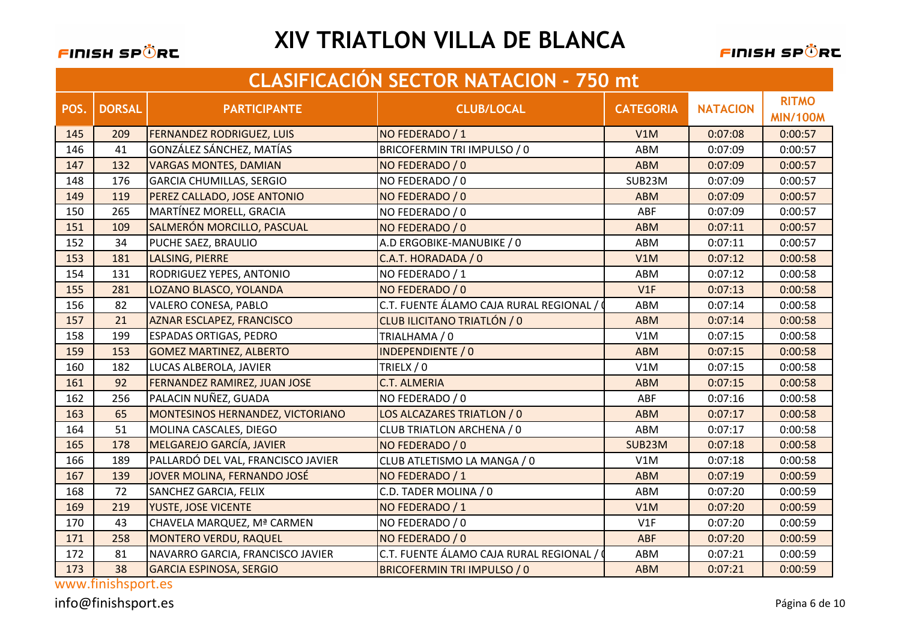#### FINISH SPÖRC

# **XIV TRIATLON VILLA DE BLANCA**

FINISH SPÖRC

|      | <b>CLASIFICACIÓN SECTOR NATACION - 750 mt</b> |                                     |                                         |                  |                 |                                 |  |
|------|-----------------------------------------------|-------------------------------------|-----------------------------------------|------------------|-----------------|---------------------------------|--|
| POS. | <b>DORSAL</b>                                 | <b>PARTICIPANTE</b>                 | <b>CLUB/LOCAL</b>                       | <b>CATEGORIA</b> | <b>NATACION</b> | <b>RITMO</b><br><b>MIN/100M</b> |  |
| 145  | 209                                           | <b>FERNANDEZ RODRIGUEZ, LUIS</b>    | NO FEDERADO / 1                         | V1M              | 0:07:08         | 0:00:57                         |  |
| 146  | 41                                            | GONZÁLEZ SÁNCHEZ, MATÍAS            | BRICOFERMIN TRI IMPULSO / 0             | ABM              | 0:07:09         | 0:00:57                         |  |
| 147  | 132                                           | <b>VARGAS MONTES, DAMIAN</b>        | NO FEDERADO / 0                         | <b>ABM</b>       | 0:07:09         | 0:00:57                         |  |
| 148  | 176                                           | <b>GARCIA CHUMILLAS, SERGIO</b>     | NO FEDERADO / 0                         | SUB23M           | 0:07:09         | 0:00:57                         |  |
| 149  | 119                                           | PEREZ CALLADO, JOSE ANTONIO         | NO FEDERADO / 0                         | <b>ABM</b>       | 0:07:09         | 0:00:57                         |  |
| 150  | 265                                           | MARTÍNEZ MORELL, GRACIA             | NO FEDERADO / 0                         | ABF              | 0:07:09         | 0:00:57                         |  |
| 151  | 109                                           | SALMERÓN MORCILLO, PASCUAL          | NO FEDERADO / 0                         | <b>ABM</b>       | 0:07:11         | 0:00:57                         |  |
| 152  | 34                                            | PUCHE SAEZ, BRAULIO                 | A.D ERGOBIKE-MANUBIKE / 0               | ABM              | 0:07:11         | 0:00:57                         |  |
| 153  | 181                                           | LALSING, PIERRE                     | C.A.T. HORADADA / 0                     | V1M              | 0:07:12         | 0:00:58                         |  |
| 154  | 131                                           | RODRIGUEZ YEPES, ANTONIO            | NO FEDERADO / 1                         | ABM              | 0:07:12         | 0:00:58                         |  |
| 155  | 281                                           | LOZANO BLASCO, YOLANDA              | NO FEDERADO / 0                         | V1F              | 0:07:13         | 0:00:58                         |  |
| 156  | 82                                            | VALERO CONESA, PABLO                | C.T. FUENTE ÁLAMO CAJA RURAL REGIONAL / | ABM              | 0:07:14         | 0:00:58                         |  |
| 157  | 21                                            | <b>AZNAR ESCLAPEZ, FRANCISCO</b>    | CLUB ILICITANO TRIATLÓN / 0             | <b>ABM</b>       | 0:07:14         | 0:00:58                         |  |
| 158  | 199                                           | <b>ESPADAS ORTIGAS, PEDRO</b>       | TRIALHAMA / 0                           | V1M              | 0:07:15         | 0:00:58                         |  |
| 159  | 153                                           | <b>GOMEZ MARTINEZ, ALBERTO</b>      | <b>INDEPENDIENTE / 0</b>                | <b>ABM</b>       | 0:07:15         | 0:00:58                         |  |
| 160  | 182                                           | LUCAS ALBEROLA, JAVIER              | TRIELX / 0                              | V1M              | 0:07:15         | 0:00:58                         |  |
| 161  | 92                                            | <b>FERNANDEZ RAMIREZ, JUAN JOSE</b> | <b>C.T. ALMERIA</b>                     | <b>ABM</b>       | 0:07:15         | 0:00:58                         |  |
| 162  | 256                                           | PALACIN NUÑEZ, GUADA                | NO FEDERADO / 0                         | ABF              | 0:07:16         | 0:00:58                         |  |
| 163  | 65                                            | MONTESINOS HERNANDEZ, VICTORIANO    | LOS ALCAZARES TRIATLON / 0              | <b>ABM</b>       | 0:07:17         | 0:00:58                         |  |
| 164  | 51                                            | MOLINA CASCALES, DIEGO              | CLUB TRIATLON ARCHENA / 0               | ABM              | 0:07:17         | 0:00:58                         |  |
| 165  | 178                                           | MELGAREJO GARCÍA, JAVIER            | NO FEDERADO / 0                         | SUB23M           | 0:07:18         | 0:00:58                         |  |
| 166  | 189                                           | PALLARDÓ DEL VAL, FRANCISCO JAVIER  | CLUB ATLETISMO LA MANGA / 0             | V1M              | 0:07:18         | 0:00:58                         |  |
| 167  | 139                                           | JOVER MOLINA, FERNANDO JOSÉ         | NO FEDERADO / 1                         | <b>ABM</b>       | 0:07:19         | 0:00:59                         |  |
| 168  | 72                                            | SANCHEZ GARCIA, FELIX               | C.D. TADER MOLINA / 0                   | ABM              | 0:07:20         | 0:00:59                         |  |
| 169  | 219                                           | <b>YUSTE, JOSE VICENTE</b>          | NO FEDERADO / 1                         | V1M              | 0:07:20         | 0:00:59                         |  |
| 170  | 43                                            | CHAVELA MARQUEZ, Mª CARMEN          | NO FEDERADO / 0                         | V1F              | 0:07:20         | 0:00:59                         |  |
| 171  | 258                                           | MONTERO VERDU, RAQUEL               | NO FEDERADO / 0                         | ABF              | 0:07:20         | 0:00:59                         |  |
| 172  | 81                                            | NAVARRO GARCIA, FRANCISCO JAVIER    | C.T. FUENTE ÁLAMO CAJA RURAL REGIONAL / | ABM              | 0:07:21         | 0:00:59                         |  |
| 173  | 38                                            | <b>GARCIA ESPINOSA, SERGIO</b>      | <b>BRICOFERMIN TRI IMPULSO / 0</b>      | <b>ABM</b>       | 0:07:21         | 0:00:59                         |  |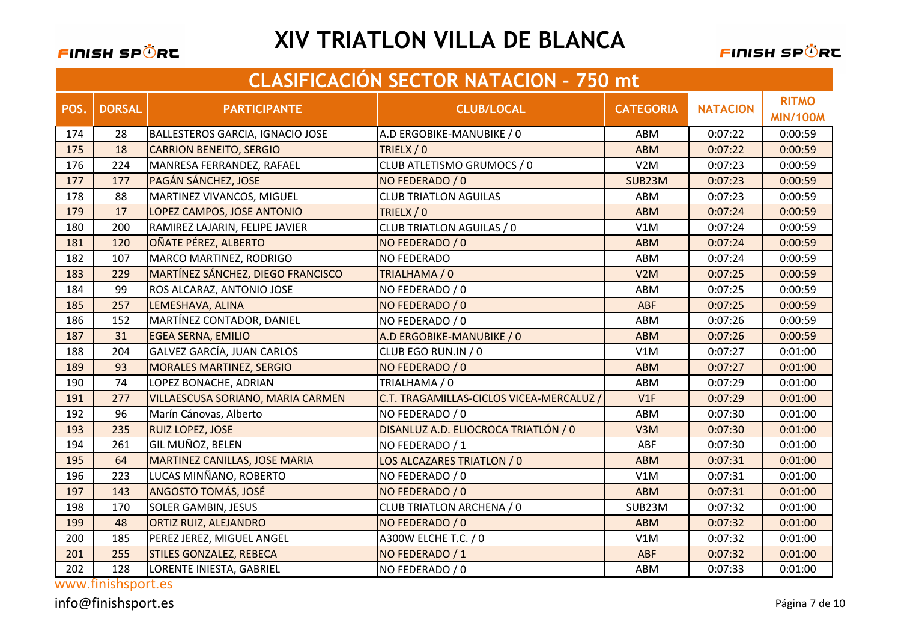

FINISH SPÖRC

|      | <b>CLASIFICACIÓN SECTOR NATACIÓN - 750 mt</b> |                                          |                                        |                  |                 |                                 |  |
|------|-----------------------------------------------|------------------------------------------|----------------------------------------|------------------|-----------------|---------------------------------|--|
| POS. | <b>DORSAL</b>                                 | <b>PARTICIPANTE</b>                      | <b>CLUB/LOCAL</b>                      | <b>CATEGORIA</b> | <b>NATACION</b> | <b>RITMO</b><br><b>MIN/100M</b> |  |
| 174  | 28                                            | <b>BALLESTEROS GARCIA, IGNACIO JOSE</b>  | A.D ERGOBIKE-MANUBIKE / 0              | ABM              | 0:07:22         | 0:00:59                         |  |
| 175  | 18                                            | <b>CARRION BENEITO, SERGIO</b>           | TRIELX / 0                             | <b>ABM</b>       | 0:07:22         | 0:00:59                         |  |
| 176  | 224                                           | MANRESA FERRANDEZ, RAFAEL                | CLUB ATLETISMO GRUMOCS / 0             | V2M              | 0:07:23         | 0:00:59                         |  |
| 177  | 177                                           | PAGÁN SÁNCHEZ, JOSE                      | NO FEDERADO / 0                        | SUB23M           | 0:07:23         | 0:00:59                         |  |
| 178  | 88                                            | <b>MARTINEZ VIVANCOS, MIGUEL</b>         | <b>CLUB TRIATLON AGUILAS</b>           | ABM              | 0:07:23         | 0:00:59                         |  |
| 179  | 17                                            | LOPEZ CAMPOS, JOSE ANTONIO               | TRIELX / 0                             | <b>ABM</b>       | 0:07:24         | 0:00:59                         |  |
| 180  | 200                                           | RAMIREZ LAJARIN, FELIPE JAVIER           | <b>CLUB TRIATLON AGUILAS / 0</b>       | V1M              | 0:07:24         | 0:00:59                         |  |
| 181  | 120                                           | OÑATE PÉREZ, ALBERTO                     | NO FEDERADO / 0                        | <b>ABM</b>       | 0:07:24         | 0:00:59                         |  |
| 182  | 107                                           | MARCO MARTINEZ, RODRIGO                  | <b>NO FEDERADO</b>                     | ABM              | 0:07:24         | 0:00:59                         |  |
| 183  | 229                                           | <b>MARTÍNEZ SÁNCHEZ, DIEGO FRANCISCO</b> | TRIALHAMA / 0                          | V2M              | 0:07:25         | 0:00:59                         |  |
| 184  | 99                                            | ROS ALCARAZ, ANTONIO JOSE                | NO FEDERADO / 0                        | ABM              | 0:07:25         | 0:00:59                         |  |
| 185  | 257                                           | LEMESHAVA, ALINA                         | NO FEDERADO / 0                        | <b>ABF</b>       | 0:07:25         | 0:00:59                         |  |
| 186  | 152                                           | MARTÍNEZ CONTADOR, DANIEL                | NO FEDERADO / 0                        | ABM              | 0:07:26         | 0:00:59                         |  |
| 187  | 31                                            | <b>EGEA SERNA, EMILIO</b>                | A.D ERGOBIKE-MANUBIKE / 0              | <b>ABM</b>       | 0:07:26         | 0:00:59                         |  |
| 188  | 204                                           | GALVEZ GARCÍA, JUAN CARLOS               | CLUB EGO RUN.IN / 0                    | V1M              | 0:07:27         | 0:01:00                         |  |
| 189  | 93                                            | <b>MORALES MARTINEZ, SERGIO</b>          | NO FEDERADO / 0                        | <b>ABM</b>       | 0:07:27         | 0:01:00                         |  |
| 190  | 74                                            | LOPEZ BONACHE, ADRIAN                    | TRIALHAMA / 0                          | ABM              | 0:07:29         | 0:01:00                         |  |
| 191  | 277                                           | <b>VILLAESCUSA SORIANO, MARIA CARMEN</b> | C.T. TRAGAMILLAS-CICLOS VICEA-MERCALUZ | V1F              | 0:07:29         | 0:01:00                         |  |
| 192  | 96                                            | Marín Cánovas, Alberto                   | NO FEDERADO / 0                        | ABM              | 0:07:30         | 0:01:00                         |  |
| 193  | 235                                           | <b>RUIZ LOPEZ, JOSE</b>                  | DISANLUZ A.D. ELIOCROCA TRIATLÓN / 0   | V <sub>3</sub> M | 0:07:30         | 0:01:00                         |  |
| 194  | 261                                           | GIL MUÑOZ, BELEN                         | NO FEDERADO / 1                        | ABF              | 0:07:30         | 0:01:00                         |  |
| 195  | 64                                            | <b>MARTINEZ CANILLAS, JOSE MARIA</b>     | LOS ALCAZARES TRIATLON / 0             | <b>ABM</b>       | 0:07:31         | 0:01:00                         |  |
| 196  | 223                                           | LUCAS MINÑANO, ROBERTO                   | NO FEDERADO / 0                        | V1M              | 0:07:31         | 0:01:00                         |  |
| 197  | 143                                           | <b>ANGOSTO TOMÁS, JOSÉ</b>               | NO FEDERADO / 0                        | <b>ABM</b>       | 0:07:31         | 0:01:00                         |  |
| 198  | 170                                           | <b>SOLER GAMBIN, JESUS</b>               | <b>CLUB TRIATLON ARCHENA / 0</b>       | SUB23M           | 0:07:32         | 0:01:00                         |  |
| 199  | 48                                            | ORTIZ RUIZ, ALEJANDRO                    | NO FEDERADO / 0                        | <b>ABM</b>       | 0:07:32         | 0:01:00                         |  |
| 200  | 185                                           | PEREZ JEREZ, MIGUEL ANGEL                | A300W ELCHE T.C. / 0                   | V1M              | 0:07:32         | 0:01:00                         |  |
| 201  | 255                                           | <b>STILES GONZALEZ, REBECA</b>           | NO FEDERADO / 1                        | ABF              | 0:07:32         | 0:01:00                         |  |
| 202  | 128                                           | LORENTE INIESTA, GABRIEL                 | NO FEDERADO / 0                        | ABM              | 0:07:33         | 0:01:00                         |  |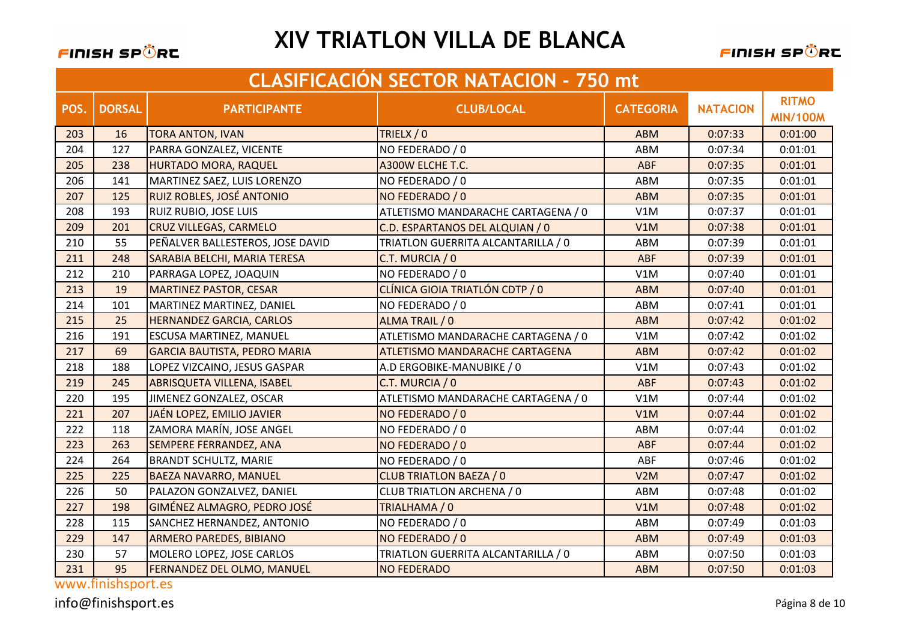

FINISH SPÖRE

|      | <b>CLASIFICACIÓN SECTOR NATACION - 750 mt</b> |                                     |                                    |                  |                 |                                 |  |
|------|-----------------------------------------------|-------------------------------------|------------------------------------|------------------|-----------------|---------------------------------|--|
| POS. | <b>DORSAL</b>                                 | <b>PARTICIPANTE</b>                 | <b>CLUB/LOCAL</b>                  | <b>CATEGORIA</b> | <b>NATACION</b> | <b>RITMO</b><br><b>MIN/100M</b> |  |
| 203  | 16                                            | <b>TORA ANTON, IVAN</b>             | TRIELX / 0                         | <b>ABM</b>       | 0:07:33         | 0:01:00                         |  |
| 204  | 127                                           | PARRA GONZALEZ, VICENTE             | NO FEDERADO / 0                    | ABM              | 0:07:34         | 0:01:01                         |  |
| 205  | 238                                           | <b>HURTADO MORA, RAQUEL</b>         | A300W ELCHE T.C.                   | ABF              | 0:07:35         | 0:01:01                         |  |
| 206  | 141                                           | MARTINEZ SAEZ, LUIS LORENZO         | NO FEDERADO / 0                    | ABM              | 0:07:35         | 0:01:01                         |  |
| 207  | 125                                           | RUIZ ROBLES, JOSÉ ANTONIO           | NO FEDERADO / 0                    | <b>ABM</b>       | 0:07:35         | 0:01:01                         |  |
| 208  | 193                                           | <b>RUIZ RUBIO, JOSE LUIS</b>        | ATLETISMO MANDARACHE CARTAGENA / 0 | V1M              | 0:07:37         | 0:01:01                         |  |
| 209  | 201                                           | <b>CRUZ VILLEGAS, CARMELO</b>       | C.D. ESPARTANOS DEL ALQUIAN / 0    | V1M              | 0:07:38         | 0:01:01                         |  |
| 210  | 55                                            | PEÑALVER BALLESTEROS, JOSE DAVID    | TRIATLON GUERRITA ALCANTARILLA / 0 | ABM              | 0:07:39         | 0:01:01                         |  |
| 211  | 248                                           | SARABIA BELCHI, MARIA TERESA        | C.T. MURCIA / 0                    | <b>ABF</b>       | 0:07:39         | 0:01:01                         |  |
| 212  | 210                                           | PARRAGA LOPEZ, JOAQUIN              | NO FEDERADO / 0                    | V1M              | 0:07:40         | 0:01:01                         |  |
| 213  | 19                                            | <b>MARTINEZ PASTOR, CESAR</b>       | CLÍNICA GIOIA TRIATLÓN CDTP / 0    | <b>ABM</b>       | 0:07:40         | 0:01:01                         |  |
| 214  | 101                                           | MARTINEZ MARTINEZ, DANIEL           | NO FEDERADO / 0                    | ABM              | 0:07:41         | 0:01:01                         |  |
| 215  | 25                                            | <b>HERNANDEZ GARCIA, CARLOS</b>     | ALMA TRAIL / 0                     | <b>ABM</b>       | 0:07:42         | 0:01:02                         |  |
| 216  | 191                                           | <b>ESCUSA MARTINEZ, MANUEL</b>      | ATLETISMO MANDARACHE CARTAGENA / 0 | V1M              | 0:07:42         | 0:01:02                         |  |
| 217  | 69                                            | <b>GARCIA BAUTISTA, PEDRO MARIA</b> | ATLETISMO MANDARACHE CARTAGENA     | <b>ABM</b>       | 0:07:42         | 0:01:02                         |  |
| 218  | 188                                           | LOPEZ VIZCAINO, JESUS GASPAR        | A.D ERGOBIKE-MANUBIKE / 0          | V1M              | 0:07:43         | 0:01:02                         |  |
| 219  | 245                                           | <b>ABRISQUETA VILLENA, ISABEL</b>   | C.T. MURCIA / 0                    | <b>ABF</b>       | 0:07:43         | 0:01:02                         |  |
| 220  | 195                                           | JIMENEZ GONZALEZ, OSCAR             | ATLETISMO MANDARACHE CARTAGENA / 0 | V1M              | 0:07:44         | 0:01:02                         |  |
| 221  | 207                                           | <b>JAÉN LOPEZ, EMILIO JAVIER</b>    | NO FEDERADO / 0                    | V1M              | 0:07:44         | 0:01:02                         |  |
| 222  | 118                                           | ZAMORA MARÍN, JOSE ANGEL            | NO FEDERADO / 0                    | ABM              | 0:07:44         | 0:01:02                         |  |
| 223  | 263                                           | <b>SEMPERE FERRANDEZ, ANA</b>       | NO FEDERADO / 0                    | <b>ABF</b>       | 0:07:44         | 0:01:02                         |  |
| 224  | 264                                           | <b>BRANDT SCHULTZ, MARIE</b>        | NO FEDERADO / 0                    | ABF              | 0:07:46         | 0:01:02                         |  |
| 225  | 225                                           | <b>BAEZA NAVARRO, MANUEL</b>        | <b>CLUB TRIATLON BAEZA / 0</b>     | V2M              | 0:07:47         | 0:01:02                         |  |
| 226  | 50                                            | PALAZON GONZALVEZ, DANIEL           | CLUB TRIATLON ARCHENA / 0          | ABM              | 0:07:48         | 0:01:02                         |  |
| 227  | 198                                           | GIMÉNEZ ALMAGRO, PEDRO JOSÉ         | TRIALHAMA / 0                      | V1M              | 0:07:48         | 0:01:02                         |  |
| 228  | 115                                           | SANCHEZ HERNANDEZ, ANTONIO          | NO FEDERADO / 0                    | ABM              | 0:07:49         | 0:01:03                         |  |
| 229  | 147                                           | <b>ARMERO PAREDES, BIBIANO</b>      | NO FEDERADO / 0                    | <b>ABM</b>       | 0:07:49         | 0:01:03                         |  |
| 230  | 57                                            | MOLERO LOPEZ, JOSE CARLOS           | TRIATLON GUERRITA ALCANTARILLA / 0 | ABM              | 0:07:50         | 0:01:03                         |  |
| 231  | 95                                            | <b>FERNANDEZ DEL OLMO, MANUEL</b>   | <b>NO FEDERADO</b>                 | <b>ABM</b>       | 0:07:50         | 0:01:03                         |  |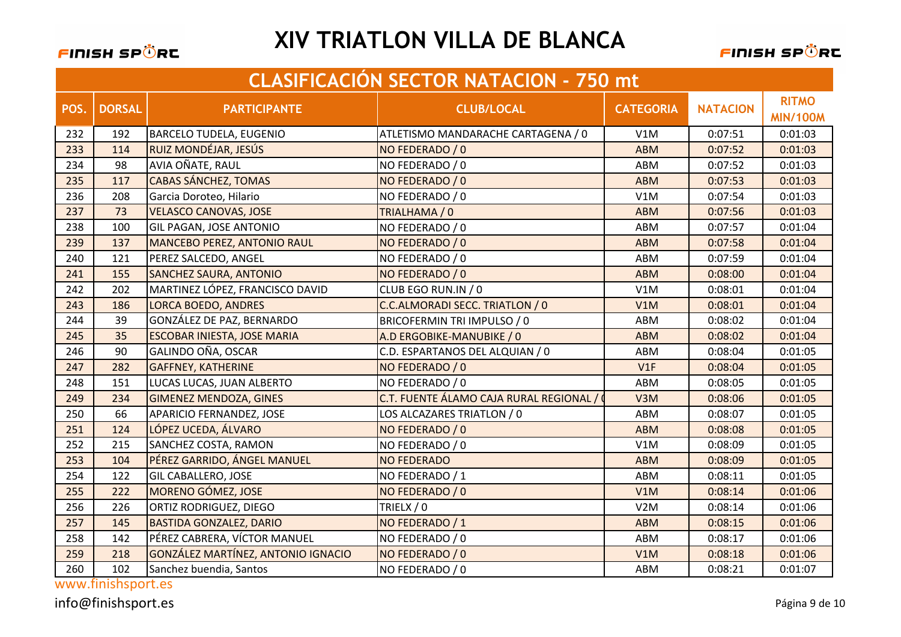#### FINISH SPÖRC

# **XIV TRIATLON VILLA DE BLANCA**

FINISH SPÖRC

|      | <b>CLASIFICACIÓN SECTOR NATACION - 750 mt</b> |                                    |                                         |                  |                 |                                 |  |  |
|------|-----------------------------------------------|------------------------------------|-----------------------------------------|------------------|-----------------|---------------------------------|--|--|
| POS. | <b>DORSAL</b>                                 | <b>PARTICIPANTE</b>                | <b>CLUB/LOCAL</b>                       | <b>CATEGORIA</b> | <b>NATACION</b> | <b>RITMO</b><br><b>MIN/100M</b> |  |  |
| 232  | 192                                           | <b>BARCELO TUDELA, EUGENIO</b>     | ATLETISMO MANDARACHE CARTAGENA / 0      | V1M              | 0:07:51         | 0:01:03                         |  |  |
| 233  | 114                                           | RUIZ MONDÉJAR, JESÚS               | NO FEDERADO / 0                         | <b>ABM</b>       | 0:07:52         | 0:01:03                         |  |  |
| 234  | 98                                            | AVIA OÑATE, RAUL                   | NO FEDERADO / 0                         | ABM              | 0:07:52         | 0:01:03                         |  |  |
| 235  | 117                                           | <b>CABAS SÁNCHEZ, TOMAS</b>        | NO FEDERADO / 0                         | <b>ABM</b>       | 0:07:53         | 0:01:03                         |  |  |
| 236  | 208                                           | Garcia Doroteo, Hilario            | NO FEDERADO / 0                         | V1M              | 0:07:54         | 0:01:03                         |  |  |
| 237  | 73                                            | <b>VELASCO CANOVAS, JOSE</b>       | TRIALHAMA / 0                           | <b>ABM</b>       | 0:07:56         | 0:01:03                         |  |  |
| 238  | 100                                           | <b>GIL PAGAN, JOSE ANTONIO</b>     | NO FEDERADO / 0                         | ABM              | 0:07:57         | 0:01:04                         |  |  |
| 239  | 137                                           | <b>MANCEBO PEREZ, ANTONIO RAUL</b> | NO FEDERADO / 0                         | <b>ABM</b>       | 0:07:58         | 0:01:04                         |  |  |
| 240  | 121                                           | PEREZ SALCEDO, ANGEL               | NO FEDERADO / 0                         | ABM              | 0:07:59         | 0:01:04                         |  |  |
| 241  | 155                                           | <b>SANCHEZ SAURA, ANTONIO</b>      | NO FEDERADO / 0                         | <b>ABM</b>       | 0:08:00         | 0:01:04                         |  |  |
| 242  | 202                                           | MARTINEZ LÓPEZ, FRANCISCO DAVID    | CLUB EGO RUN.IN / 0                     | V1M              | 0:08:01         | 0:01:04                         |  |  |
| 243  | 186                                           | <b>LORCA BOEDO, ANDRES</b>         | C.C.ALMORADI SECC. TRIATLON / 0         | V1M              | 0:08:01         | 0:01:04                         |  |  |
| 244  | 39                                            | GONZÁLEZ DE PAZ, BERNARDO          | BRICOFERMIN TRI IMPULSO / 0             | ABM              | 0:08:02         | 0:01:04                         |  |  |
| 245  | 35                                            | <b>ESCOBAR INIESTA, JOSE MARIA</b> | A.D ERGOBIKE-MANUBIKE / 0               | <b>ABM</b>       | 0:08:02         | 0:01:04                         |  |  |
| 246  | 90                                            | GALINDO OÑA, OSCAR                 | C.D. ESPARTANOS DEL ALQUIAN / 0         | ABM              | 0:08:04         | 0:01:05                         |  |  |
| 247  | 282                                           | <b>GAFFNEY, KATHERINE</b>          | NO FEDERADO / 0                         | V1F              | 0:08:04         | 0:01:05                         |  |  |
| 248  | 151                                           | LUCAS LUCAS, JUAN ALBERTO          | NO FEDERADO / 0                         | ABM              | 0:08:05         | 0:01:05                         |  |  |
| 249  | 234                                           | <b>GIMENEZ MENDOZA, GINES</b>      | C.T. FUENTE ÁLAMO CAJA RURAL REGIONAL / | V3M              | 0:08:06         | 0:01:05                         |  |  |
| 250  | 66                                            | APARICIO FERNANDEZ, JOSE           | LOS ALCAZARES TRIATLON / 0              | ABM              | 0:08:07         | 0:01:05                         |  |  |
| 251  | 124                                           | LÓPEZ UCEDA, ÁLVARO                | NO FEDERADO / 0                         | <b>ABM</b>       | 0:08:08         | 0:01:05                         |  |  |
| 252  | 215                                           | SANCHEZ COSTA, RAMON               | NO FEDERADO / 0                         | V1M              | 0:08:09         | 0:01:05                         |  |  |
| 253  | 104                                           | PÉREZ GARRIDO, ÁNGEL MANUEL        | <b>NO FEDERADO</b>                      | <b>ABM</b>       | 0:08:09         | 0:01:05                         |  |  |
| 254  | 122                                           | <b>GIL CABALLERO, JOSE</b>         | NO FEDERADO / 1                         | ABM              | 0:08:11         | 0:01:05                         |  |  |
| 255  | 222                                           | MORENO GÓMEZ, JOSE                 | NO FEDERADO / 0                         | V1M              | 0:08:14         | 0:01:06                         |  |  |
| 256  | 226                                           | <b>ORTIZ RODRIGUEZ, DIEGO</b>      | TRIELX / 0                              | V2M              | 0:08:14         | 0:01:06                         |  |  |
| 257  | 145                                           | <b>BASTIDA GONZALEZ, DARIO</b>     | NO FEDERADO / 1                         | <b>ABM</b>       | 0:08:15         | 0:01:06                         |  |  |
| 258  | 142                                           | PÉREZ CABRERA, VÍCTOR MANUEL       | NO FEDERADO / 0                         | ABM              | 0:08:17         | 0:01:06                         |  |  |
| 259  | 218                                           | GONZÁLEZ MARTÍNEZ, ANTONIO IGNACIO | NO FEDERADO / 0                         | V1M              | 0:08:18         | 0:01:06                         |  |  |
| 260  | 102                                           | Sanchez buendia, Santos            | NO FEDERADO / 0                         | ABM              | 0:08:21         | 0:01:07                         |  |  |